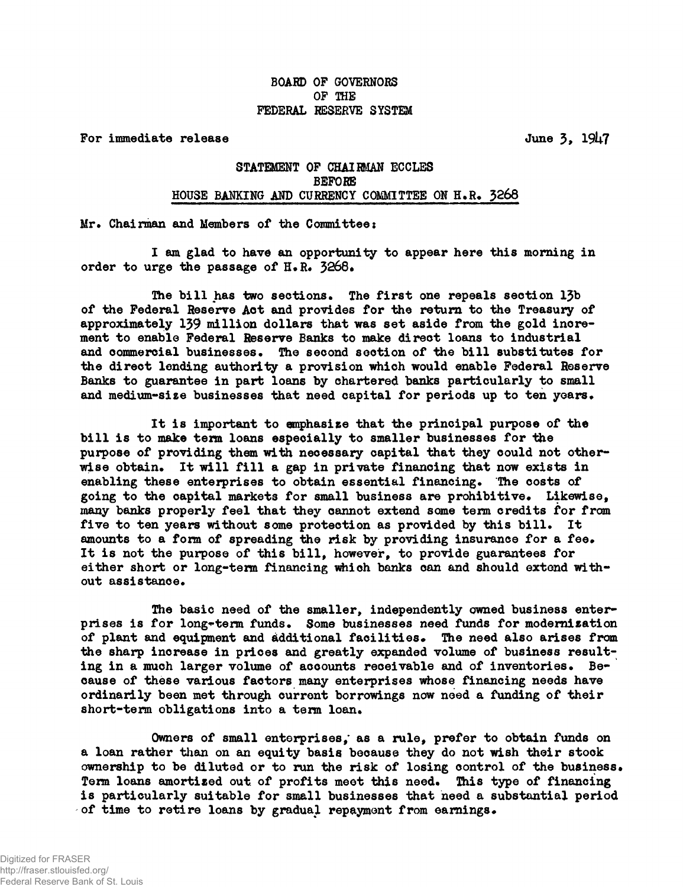## **BOARD OP GOVERNORS OF THE FEDERAL RESERVE SYSTEM**

**For immediate release June 3, 1947** 

## **STATEMENT OF CHAIRMAN ECCLES BEFORE** HOUSE BANKING AND CURRENCY COMMITTEE ON H.R. 3268

**Mr. Chairman and Members of the Committee:**

**I am glad to have an opportunity to appear here this morning in** order to urge the passage of H.R. 3268.

The bill has two sections. The first one repeals section 13b **of the Federal Reserve Act and provides for the return to the Treasury of approximately 139 million dollars that was set aside from the gold increment to enable Federal Reserve Banks to make direct loans to industrial** and commercial businesses. The second section of the bill substitutes for **the direct lending authority a provision which would enable Federal Reserve Banks to guarantee in part loans by chartered banks particularly to small** and medium-size businesses that need capital for periods up to ten years.

**It is important to emphasize that the principal purpose of the bill is to make term loans especially to smaller businesses for the purpose of providing them with necessary capital that they could not otherwise obtain\* It will fill a gap in private financing that now exists in enabling these enterprises to obtain essential financing. The costs of** going to the capital markets for small business are prohibitive. Likewise, **many banks properly feel that they cannot extend some term credits for from five to ten years without some protection as provided by this bill\* It amounts to a form of spreading the risk by providing insurance for a fee\* It is not the purpose of this bill, however, to provide guarantees for either short or long-term financing which banks can and should extend without assistance\***

**The basic need of the smaller, independently owned business enter**prises is for long-term funds. Some businesses need funds for modernization **of plant and equipment and additional facilities\* The need also arises from the sharp increase in prices and greatly expanded volume of business result**ing in a much larger volume of accounts receivable and of inventories. Be**cause of these various factors many enterprises whose financing needs have ordinarily been met through current borrowings now need a funding of their** short-term obligations into a term loan.

**Owners of small enterprises,' as a rule, prefer to obtain funds on a loan rather than on an equity basis because they do not wish their stock ownership to be diluted or to run the risk of losing control of the business\* Term loans amortised out of profits meet this need\* This type of financing is particularly suitable for small businesses that need a substantial period** of time to retire loans by gradual repayment from earnings.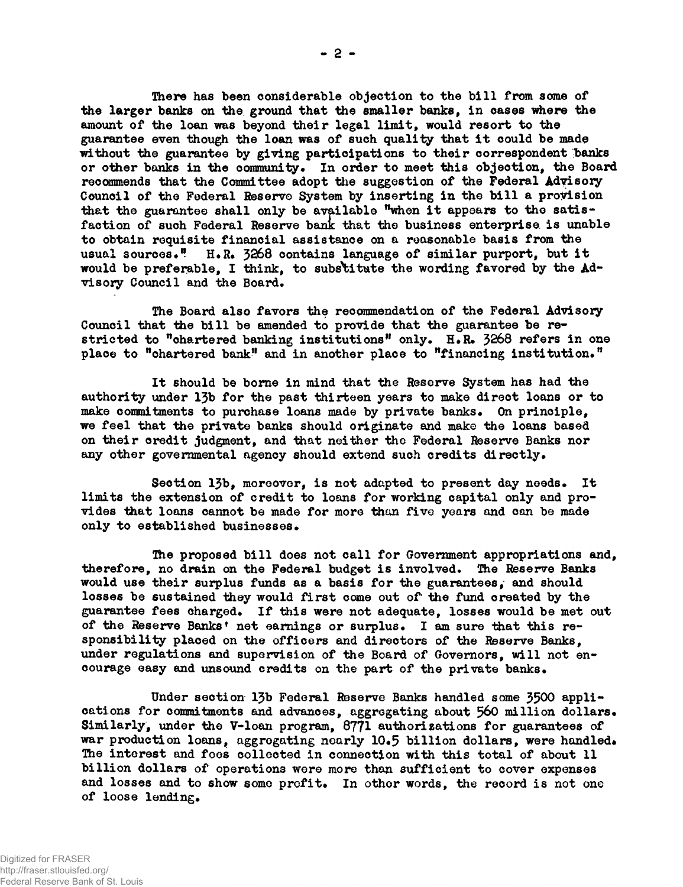**There has been considerable objection to the bill from some of the larger banks on the ground that the smaller banks, in cases where the amount of the loan was beyond their legal limit, would resort to the guarantee even though the loan was of such quality that it could be made** without the guarantee by giving participations to their correspondent banks or other banks in the community. In order to meet this objection, the Board **recommends that the Committee adopt the suggestion of the Federal Adyisoxy Council of the Federal Reserve System by inserting in the bill a provision that the guarantee shall only be available "when it appears to the satisfaction of such Federal Reserve bant that the business enterprise is unable to obtain requisite financial assistance on a reasonable basis from the** usual sources." H.R. 3268 contains language of similar purport, but it **would be preferable, I think, to substitute the wording favored by the Advisory Council and the Board.**

**The Board also favors the recommendation of the Federal Advisory Council that the bill be amended to provide that the guarantee be restricted to ''chartered banking institutions<sup>11</sup> only. H.R. 3268 refers in one place to "chartered bank<sup>11</sup> and in another place to financing institution."**

**It should be borne in mind that the Reserve System has had the authority under 13b for the past thirteen years to make direct loans or to make commitments to purchase loans made by private banks. On principle, we feel that the private banks should originate and make the loans based on their credit judgment, and that neither the Federal Reserve Banks nor any other governmental agency should extend such credits directly.**

**Section 13b, moreover, is not adapted to present day needs. It limits the extension of credit to loans for working capital only and provides that loans cannot be made for more than five years and con be made only to established businesses.**

**The proposed bill does not call for Government appropriations and, therefore, no drain on the Federal budget is involved. The Reserve Banks would use their surplus funds as a basis for the guarantees, and should losses be sustained they would first come out of\* the fund created by the guarantee fees charged. If this were not adequate, losses would be met out of the Reserve Banks<sup>1</sup> net earnings or surplus. I am sure that this responsibility placed on the officers and directors of the Reserve Banks, under regulations and supervision of the Board of Governors, will not encourage easy and unsound credits on the part of the private banks.**

**Under section 13b Federal Reserve Banks handled some 3500 applications for commitments and advances, aggregating about 560 million dollars. Similarly, under the V-loan program, 8771 authorisations for guarantees of war production loons, aggregating nearly 10.5 billion dollars, were handled\* The interest and foes collected in connection with this total of about 11 billion dollars of operations wore more than sufficient to cover expenses** and losses and to show some profit. In other words, the record is not one **of loose lending.**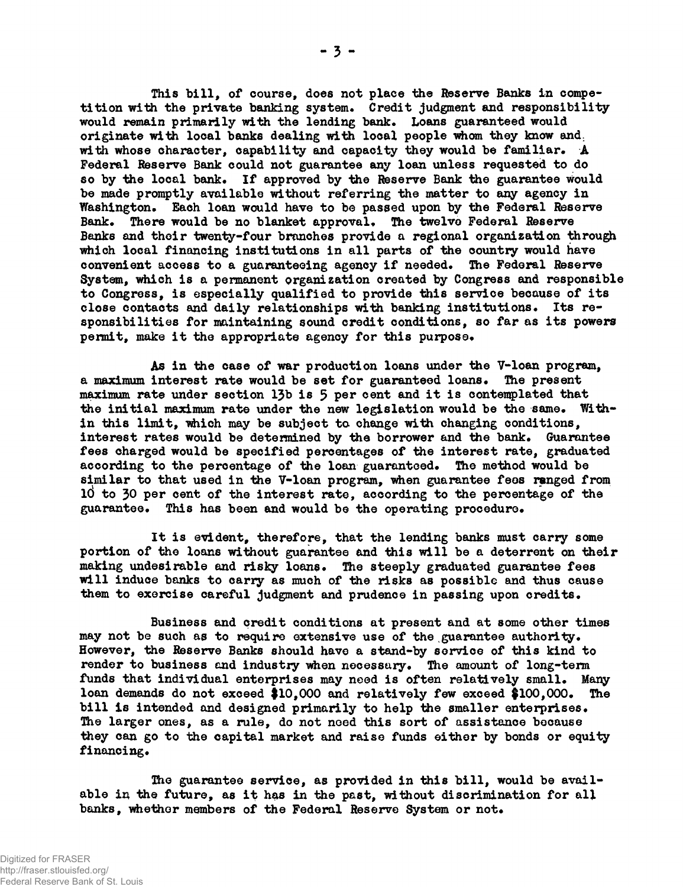**This bill, of course, does not place the Reserve Banks in compe**tition with the private banking system. Credit judgment and responsibility would remain primarily with the lending bank. Loans guaranteed would **originate with local banks dealing with local people whom they know and: with whose character, capability and capacity they would be familiar. A Federal Reserve Bank could not guarantee any loan unless requested to do** so by the local bank. If approved by the Reserve Bank the guarantee would **be made promptly available without referring the matter to any agency in** Washington. Each loan would have to be passed upon by the Federal Reserve Bank. There would be no blanket approval. The twelve Federal Reserve **Banks and their twenty-four branches provide a regional organization through which local financing institutions in all parts of the country would have** convenient access to a guaranteeing agency if needed. The Federal Reserve **System, which is a permanent organization created by Congress and responsible to Congress, is especially qualified to provide this service because of its** close contacts and daily relationships with banking institutions. Its re**sponsibilities for maintaining sound credit conditions, so far as its powers** permit, make it the appropriate agency for this purpose.

**As in the case of war production loans under the V-loan program, a maximum interest rate would be set for guaranteed loans\* The present** maximum rate under section 13b is 5 per cent and it is contemplated that the initial maximum rate under the new legislation would be the same. With**in this limit, which may be subject to. change with changing conditions,** interest rates would be determined by the borrower and the bank. Guarantee **fees charged would be specified percentages of the interest rate, graduated** according to the percentage of the loan guaranteed. The method would be **similar to that used in the V-loan program, when guarantee fees ranged from id to 30 per cent of the interest rate, according to the percentage of the guarantee\* This has been and would be the operating procedure\***

**It is evident, therefore, that the lending banks must carry some portion of the loans without guarantee and this will be a deterrent on their making undesirable and risky loans. The steeply graduated guarantee fees will induce banks to carry as much of the risks as possible and thus cause** them to exercise careful judgment and prudence in passing upon credits.

**Business and credit conditions at present and at some other times** may not be such as to require extensive use of the guarantee authority. **However, the Reserve Banks should have a stand-by service of this kind to** render to business and industry when necessary. The amount of long-term **funds that individual enterprises may need is often relatively small. Many loan demands do not exceed \$10,000 and relatively few exceed \$100,000. The** bill is intended and designed primarily to help the smaller enterprises. **The larger ones, as a rule, do not noed this sort of assistance because they con go to the capital market and raise funds either by bonds or equity** financing.

**The guarantee service, as provided in this bill, would be avail**able in the future, as it has in the past, without discrimination for all banks, whether members of the Federal Reserve System or not.